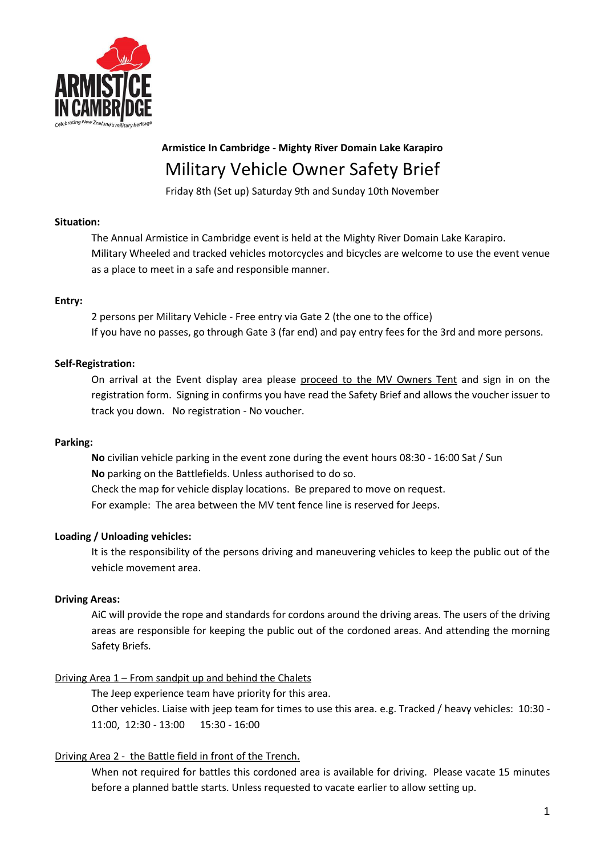

# **Armistice In Cambridge - Mighty River Domain Lake Karapiro** Military Vehicle Owner Safety Brief

Friday 8th (Set up) Saturday 9th and Sunday 10th November

#### **Situation:**

The Annual Armistice in Cambridge event is held at the Mighty River Domain Lake Karapiro. Military Wheeled and tracked vehicles motorcycles and bicycles are welcome to use the event venue as a place to meet in a safe and responsible manner.

#### **Entry:**

2 persons per Military Vehicle - Free entry via Gate 2 (the one to the office) If you have no passes, go through Gate 3 (far end) and pay entry fees for the 3rd and more persons.

#### **Self-Registration:**

On arrival at the Event display area please proceed to the MV Owners Tent and sign in on the registration form. Signing in confirms you have read the Safety Brief and allows the voucher issuer to track you down. No registration - No voucher.

#### **Parking:**

**No** civilian vehicle parking in the event zone during the event hours 08:30 - 16:00 Sat / Sun **No** parking on the Battlefields. Unless authorised to do so. Check the map for vehicle display locations. Be prepared to move on request. For example: The area between the MV tent fence line is reserved for Jeeps.

## **Loading / Unloading vehicles:**

It is the responsibility of the persons driving and maneuvering vehicles to keep the public out of the vehicle movement area.

## **Driving Areas:**

AiC will provide the rope and standards for cordons around the driving areas. The users of the driving areas are responsible for keeping the public out of the cordoned areas. And attending the morning Safety Briefs.

## Driving Area 1 – From sandpit up and behind the Chalets

The Jeep experience team have priority for this area. Other vehicles. Liaise with jeep team for times to use this area. e.g. Tracked / heavy vehicles: 10:30 - 11:00, 12:30 - 13:00 15:30 - 16:00

## Driving Area 2 - the Battle field in front of the Trench.

When not required for battles this cordoned area is available for driving. Please vacate 15 minutes before a planned battle starts. Unless requested to vacate earlier to allow setting up.